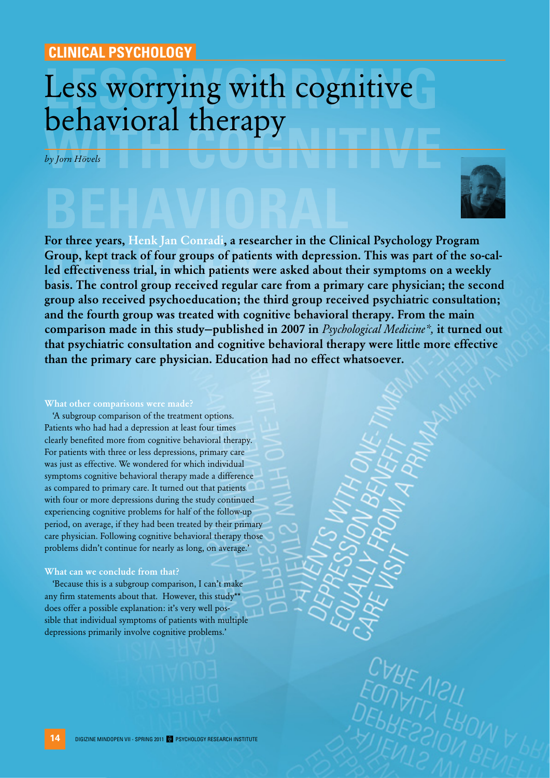## **CLINICAL PSYCHOLOGY**

# Less worrying with cognitive **with conduct the company of the conduct of the conduct of the conduct of the conduct of the conduct of the conduct of the conduct of the conduct of the conduct of the conduct of the conduct of the conduct of the conduct o** Less worrying with cognitive behavioral therapy

*by Jorn Hövels*

**behavioral Group, kept track of four groups of patients we<br>led effectiveness trial, in which patients we<br>basis. The control group received regular** For three years, Henk Jan Conradi, a researcher in the Clinical Psychology Program Group, kept track of four groups of patients with depression. This was part of the so-called effectiveness trial, in which patients were asked about their symptoms on a weekly basis. The control group received regular care from a primary care physician; the second group also received psychoeducation; the third group received psychiatric consultation; and the fourth group was treated with cognitive behavioral therapy. From the main comparison made in this study—published in 2007 in *Psychological Medicine\*,* it turned out that psychiatric consultation and cognitive behavioral therapy were little more effective than the primary care physician. Education had no effect whatsoever.

#### What other comparisons were made?

'A subgroup comparison of the treatment options. Patients who had had a depression at least four times clearly benefited more from cognitive behavioral therapy. For patients with three or less depressions, primary care was just as effective. We wondered for which individual symptoms cognitive behavioral therapy made a difference as compared to primary care. It turned out that patients with four or more depressions during the study continued experiencing cognitive problems for half of the follow-up period, on average, if they had been treated by their primary care physician. Following cognitive behavioral therapy those problems didn't continue for nearly as long, on average.'

#### What can we conclude from that?

'Because this is a subgroup comparison, I can't make any firm statements about that. However, this study\*\* does offer a possible explanation: it's very well possible that individual symptoms of patients with multiple depressions primarily involve cognitive problems.'